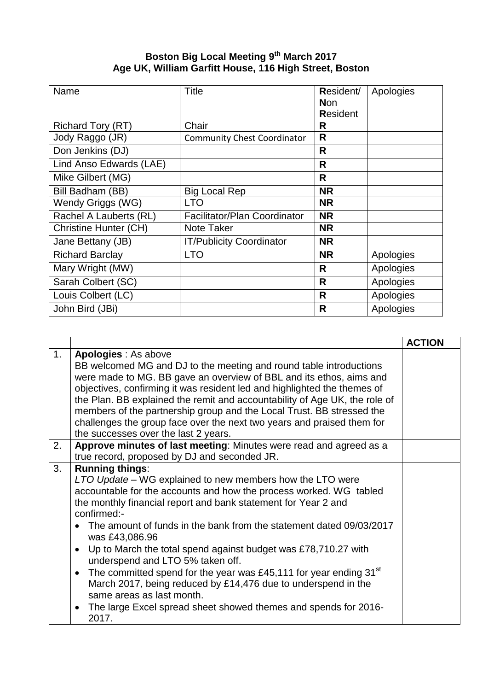## **Boston Big Local Meeting 9 th March 2017 Age UK, William Garfitt House, 116 High Street, Boston**

| Name                         | Title                              | Resident/<br><b>Non</b><br><b>Resident</b> | Apologies |
|------------------------------|------------------------------------|--------------------------------------------|-----------|
| <b>Richard Tory (RT)</b>     | Chair                              | R                                          |           |
| Jody Raggo (JR)              | <b>Community Chest Coordinator</b> | R                                          |           |
| Don Jenkins (DJ)             |                                    | R                                          |           |
| Lind Anso Edwards (LAE)      |                                    | $\mathsf{R}$                               |           |
| Mike Gilbert (MG)            |                                    | R                                          |           |
| Bill Badham (BB)             | <b>Big Local Rep</b>               | <b>NR</b>                                  |           |
| Wendy Griggs (WG)            | <b>LTO</b>                         | <b>NR</b>                                  |           |
| Rachel A Lauberts (RL)       | Facilitator/Plan Coordinator       | <b>NR</b>                                  |           |
| <b>Christine Hunter (CH)</b> | Note Taker                         | <b>NR</b>                                  |           |
| Jane Bettany (JB)            | <b>IT/Publicity Coordinator</b>    | <b>NR</b>                                  |           |
| <b>Richard Barclay</b>       | <b>LTO</b>                         | <b>NR</b>                                  | Apologies |
| Mary Wright (MW)             |                                    | R                                          | Apologies |
| Sarah Colbert (SC)           |                                    | R                                          | Apologies |
| Louis Colbert (LC)           |                                    | R                                          | Apologies |
| John Bird (JBi)              |                                    | R                                          | Apologies |

|                |                                                                                                                                                 | <b>ACTION</b> |
|----------------|-------------------------------------------------------------------------------------------------------------------------------------------------|---------------|
| $\mathbf{1}$ . | <b>Apologies</b> : As above                                                                                                                     |               |
|                | BB welcomed MG and DJ to the meeting and round table introductions                                                                              |               |
|                | were made to MG. BB gave an overview of BBL and its ethos, aims and                                                                             |               |
|                | objectives, confirming it was resident led and highlighted the themes of                                                                        |               |
|                | the Plan. BB explained the remit and accountability of Age UK, the role of                                                                      |               |
|                | members of the partnership group and the Local Trust. BB stressed the<br>challenges the group face over the next two years and praised them for |               |
|                | the successes over the last 2 years.                                                                                                            |               |
| 2.             | Approve minutes of last meeting: Minutes were read and agreed as a                                                                              |               |
|                | true record, proposed by DJ and seconded JR.                                                                                                    |               |
| 3.             | <b>Running things:</b>                                                                                                                          |               |
|                | LTO Update – WG explained to new members how the LTO were                                                                                       |               |
|                | accountable for the accounts and how the process worked. WG tabled                                                                              |               |
|                | the monthly financial report and bank statement for Year 2 and<br>confirmed:-                                                                   |               |
|                | The amount of funds in the bank from the statement dated 09/03/2017                                                                             |               |
|                | was £43,086.96                                                                                                                                  |               |
|                | Up to March the total spend against budget was £78,710.27 with<br>$\bullet$                                                                     |               |
|                | underspend and LTO 5% taken off.                                                                                                                |               |
|                | The committed spend for the year was £45,111 for year ending 31 $^{\rm st}$<br>$\bullet$                                                        |               |
|                | March 2017, being reduced by £14,476 due to underspend in the                                                                                   |               |
|                | same areas as last month.                                                                                                                       |               |
|                | The large Excel spread sheet showed themes and spends for 2016-<br>$\bullet$                                                                    |               |
|                | 2017.                                                                                                                                           |               |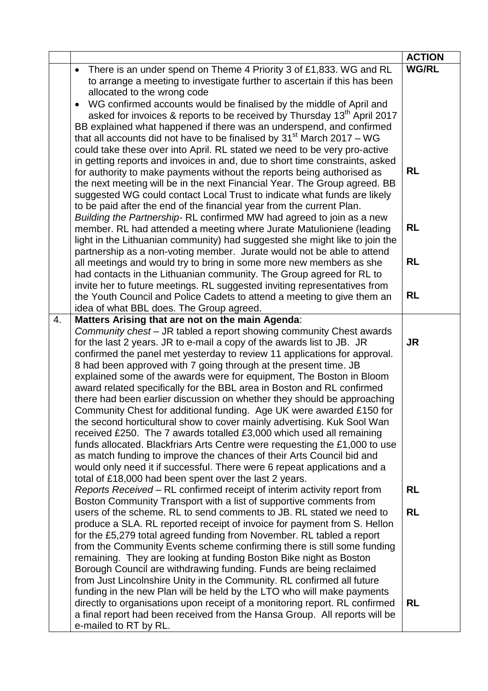|    | There is an under spend on Theme 4 Priority 3 of £1,833. WG and RL<br>$\bullet$                                                               | <b>WG/RL</b> |
|----|-----------------------------------------------------------------------------------------------------------------------------------------------|--------------|
|    | to arrange a meeting to investigate further to ascertain if this has been                                                                     |              |
|    | allocated to the wrong code                                                                                                                   |              |
|    | WG confirmed accounts would be finalised by the middle of April and<br>$\bullet$                                                              |              |
|    | asked for invoices & reports to be received by Thursday 13 <sup>th</sup> April 2017                                                           |              |
|    | BB explained what happened if there was an underspend, and confirmed                                                                          |              |
|    | that all accounts did not have to be finalised by $31st$ March 2017 – WG                                                                      |              |
|    | could take these over into April. RL stated we need to be very pro-active                                                                     |              |
|    | in getting reports and invoices in and, due to short time constraints, asked                                                                  |              |
|    | for authority to make payments without the reports being authorised as                                                                        | <b>RL</b>    |
|    | the next meeting will be in the next Financial Year. The Group agreed. BB                                                                     |              |
|    | suggested WG could contact Local Trust to indicate what funds are likely                                                                      |              |
|    | to be paid after the end of the financial year from the current Plan.                                                                         |              |
|    | Building the Partnership-RL confirmed MW had agreed to join as a new                                                                          |              |
|    | member. RL had attended a meeting where Jurate Matulioniene (leading                                                                          | <b>RL</b>    |
|    | light in the Lithuanian community) had suggested she might like to join the                                                                   |              |
|    | partnership as a non-voting member. Jurate would not be able to attend                                                                        |              |
|    | all meetings and would try to bring in some more new members as she                                                                           | <b>RL</b>    |
|    | had contacts in the Lithuanian community. The Group agreed for RL to                                                                          |              |
|    | invite her to future meetings. RL suggested inviting representatives from                                                                     |              |
|    | the Youth Council and Police Cadets to attend a meeting to give them an                                                                       | <b>RL</b>    |
|    | idea of what BBL does. The Group agreed.                                                                                                      |              |
| 4. | Matters Arising that are not on the main Agenda:                                                                                              |              |
|    | Community chest - JR tabled a report showing community Chest awards                                                                           |              |
|    | for the last 2 years. JR to e-mail a copy of the awards list to JB. JR                                                                        | <b>JR</b>    |
|    | confirmed the panel met yesterday to review 11 applications for approval.                                                                     |              |
|    | 8 had been approved with 7 going through at the present time. JB                                                                              |              |
|    | explained some of the awards were for equipment, The Boston in Bloom                                                                          |              |
|    | award related specifically for the BBL area in Boston and RL confirmed                                                                        |              |
|    | there had been earlier discussion on whether they should be approaching                                                                       |              |
|    | Community Chest for additional funding. Age UK were awarded £150 for                                                                          |              |
|    | the second horticultural show to cover mainly advertising. Kuk Sool Wan                                                                       |              |
|    | received £250. The 7 awards totalled £3,000 which used all remaining                                                                          |              |
|    | funds allocated. Blackfriars Arts Centre were requesting the £1,000 to use                                                                    |              |
|    | as match funding to improve the chances of their Arts Council bid and                                                                         |              |
|    | would only need it if successful. There were 6 repeat applications and a                                                                      |              |
|    | total of £18,000 had been spent over the last 2 years.                                                                                        |              |
|    | Reports Received – RL confirmed receipt of interim activity report from                                                                       | <b>RL</b>    |
|    | Boston Community Transport with a list of supportive comments from                                                                            |              |
|    | users of the scheme. RL to send comments to JB. RL stated we need to                                                                          | <b>RL</b>    |
|    | produce a SLA. RL reported receipt of invoice for payment from S. Hellon                                                                      |              |
|    | for the £5,279 total agreed funding from November. RL tabled a report                                                                         |              |
|    | from the Community Events scheme confirming there is still some funding<br>remaining. They are looking at funding Boston Bike night as Boston |              |
|    | Borough Council are withdrawing funding. Funds are being reclaimed                                                                            |              |
|    | from Just Lincolnshire Unity in the Community. RL confirmed all future                                                                        |              |
|    | funding in the new Plan will be held by the LTO who will make payments                                                                        |              |
|    | directly to organisations upon receipt of a monitoring report. RL confirmed                                                                   | <b>RL</b>    |
|    | a final report had been received from the Hansa Group. All reports will be                                                                    |              |
|    | e-mailed to RT by RL.                                                                                                                         |              |
|    |                                                                                                                                               |              |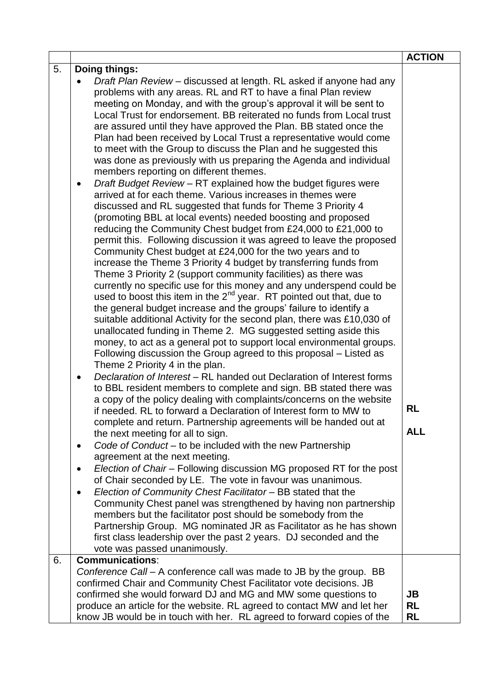|    |                                                                                                                                           | <b>ACTION</b> |
|----|-------------------------------------------------------------------------------------------------------------------------------------------|---------------|
| 5. | Doing things:                                                                                                                             |               |
|    | Draft Plan Review – discussed at length. RL asked if anyone had any                                                                       |               |
|    | problems with any areas. RL and RT to have a final Plan review                                                                            |               |
|    | meeting on Monday, and with the group's approval it will be sent to                                                                       |               |
|    | Local Trust for endorsement. BB reiterated no funds from Local trust                                                                      |               |
|    | are assured until they have approved the Plan. BB stated once the                                                                         |               |
|    | Plan had been received by Local Trust a representative would come                                                                         |               |
|    | to meet with the Group to discuss the Plan and he suggested this                                                                          |               |
|    | was done as previously with us preparing the Agenda and individual                                                                        |               |
|    | members reporting on different themes.                                                                                                    |               |
|    | Draft Budget Review – RT explained how the budget figures were<br>٠<br>arrived at for each theme. Various increases in themes were        |               |
|    | discussed and RL suggested that funds for Theme 3 Priority 4                                                                              |               |
|    | (promoting BBL at local events) needed boosting and proposed                                                                              |               |
|    | reducing the Community Chest budget from £24,000 to £21,000 to                                                                            |               |
|    | permit this. Following discussion it was agreed to leave the proposed                                                                     |               |
|    | Community Chest budget at £24,000 for the two years and to                                                                                |               |
|    | increase the Theme 3 Priority 4 budget by transferring funds from                                                                         |               |
|    | Theme 3 Priority 2 (support community facilities) as there was                                                                            |               |
|    | currently no specific use for this money and any underspend could be                                                                      |               |
|    | used to boost this item in the $2^{nd}$ year. RT pointed out that, due to                                                                 |               |
|    | the general budget increase and the groups' failure to identify a                                                                         |               |
|    | suitable additional Activity for the second plan, there was £10,030 of                                                                    |               |
|    | unallocated funding in Theme 2. MG suggested setting aside this                                                                           |               |
|    | money, to act as a general pot to support local environmental groups.                                                                     |               |
|    | Following discussion the Group agreed to this proposal – Listed as                                                                        |               |
|    | Theme 2 Priority 4 in the plan.                                                                                                           |               |
|    | Declaration of Interest – RL handed out Declaration of Interest forms                                                                     |               |
|    | to BBL resident members to complete and sign. BB stated there was<br>a copy of the policy dealing with complaints/concerns on the website |               |
|    | if needed. RL to forward a Declaration of Interest form to MW to                                                                          | <b>RL</b>     |
|    | complete and return. Partnership agreements will be handed out at                                                                         |               |
|    | the next meeting for all to sign.                                                                                                         | <b>ALL</b>    |
|    | Code of Conduct – to be included with the new Partnership<br>$\bullet$                                                                    |               |
|    | agreement at the next meeting.                                                                                                            |               |
|    | Election of Chair - Following discussion MG proposed RT for the post<br>$\bullet$                                                         |               |
|    | of Chair seconded by LE. The vote in favour was unanimous.                                                                                |               |
|    | Election of Community Chest Facilitator - BB stated that the<br>$\bullet$                                                                 |               |
|    | Community Chest panel was strengthened by having non partnership                                                                          |               |
|    | members but the facilitator post should be somebody from the                                                                              |               |
|    | Partnership Group. MG nominated JR as Facilitator as he has shown                                                                         |               |
|    | first class leadership over the past 2 years. DJ seconded and the                                                                         |               |
|    | vote was passed unanimously.                                                                                                              |               |
| 6. | <b>Communications:</b>                                                                                                                    |               |
|    | Conference Call – A conference call was made to JB by the group. BB                                                                       |               |
|    | confirmed Chair and Community Chest Facilitator vote decisions. JB                                                                        |               |
|    | confirmed she would forward DJ and MG and MW some questions to                                                                            | <b>JB</b>     |
|    | produce an article for the website. RL agreed to contact MW and let her                                                                   | <b>RL</b>     |
|    | know JB would be in touch with her. RL agreed to forward copies of the                                                                    | <b>RL</b>     |